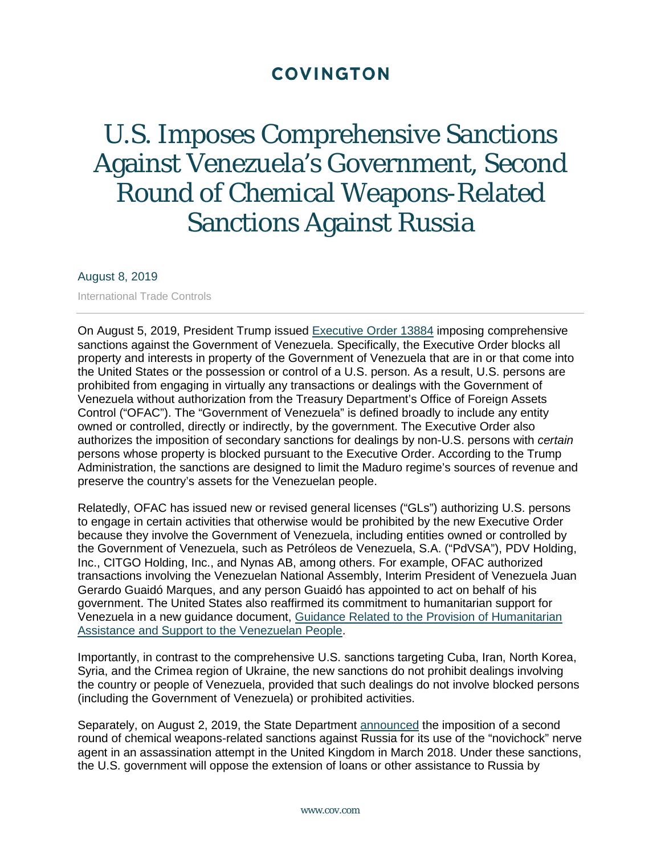## **COVINGTON**

# U.S. Imposes Comprehensive Sanctions Against Venezuela's Government, Second Round of Chemical Weapons-Related Sanctions Against Russia

#### August 8, 2019

International Trade Controls

On August 5, 2019, President Trump issued [Executive Order](https://www.treasury.gov/resource-center/sanctions/Programs/Documents/13884.pdf) 13884 imposing comprehensive sanctions against the Government of Venezuela. Specifically, the Executive Order blocks all property and interests in property of the Government of Venezuela that are in or that come into the United States or the possession or control of a U.S. person. As a result, U.S. persons are prohibited from engaging in virtually any transactions or dealings with the Government of Venezuela without authorization from the Treasury Department's Office of Foreign Assets Control ("OFAC"). The "Government of Venezuela" is defined broadly to include any entity owned or controlled, directly or indirectly, by the government. The Executive Order also authorizes the imposition of secondary sanctions for dealings by non-U.S. persons with *certain* persons whose property is blocked pursuant to the Executive Order. According to the Trump Administration, the sanctions are designed to limit the Maduro regime's sources of revenue and preserve the country's assets for the Venezuelan people.

Relatedly, OFAC has issued new or revised general licenses ("GLs") authorizing U.S. persons to engage in certain activities that otherwise would be prohibited by the new Executive Order because they involve the Government of Venezuela, including entities owned or controlled by the Government of Venezuela, such as Petróleos de Venezuela, S.A. ("PdVSA"), PDV Holding, Inc., CITGO Holding, Inc., and Nynas AB, among others. For example, OFAC authorized transactions involving the Venezuelan National Assembly, Interim President of Venezuela Juan Gerardo Guaidó Marques, and any person Guaidó has appointed to act on behalf of his government. The United States also reaffirmed its commitment to humanitarian support for Venezuela in a new guidance document, [Guidance Related to the Provision of Humanitarian](http://links.govdelivery.com/track?type=click&enid=ZWFzPTEmbXNpZD0mYXVpZD0mbWFpbGluZ2lkPTIwMTkwODA2Ljg4MzYxNjEmbWVzc2FnZWlkPU1EQi1QUkQtQlVMLTIwMTkwODA2Ljg4MzYxNjEmZGF0YWJhc2VpZD0xMDAxJnNlcmlhbD0xNjc4NTk3MyZlbWFpbGlkPXBmbGFuYWdhbkBjb3YuY29tJnVzZXJpZD1wZmxhbmFnYW5AY292LmNvbSZ0YXJnZXRpZD0mZmw9Jm12aWQ9JmV4dHJhPSYmJg==&&&113&&&https://www.treasury.gov/resource-center/sanctions/Programs/Documents/20190805_vz_humanitarian_guidance.pdf)  [Assistance and Support to the Venezuelan People.](http://links.govdelivery.com/track?type=click&enid=ZWFzPTEmbXNpZD0mYXVpZD0mbWFpbGluZ2lkPTIwMTkwODA2Ljg4MzYxNjEmbWVzc2FnZWlkPU1EQi1QUkQtQlVMLTIwMTkwODA2Ljg4MzYxNjEmZGF0YWJhc2VpZD0xMDAxJnNlcmlhbD0xNjc4NTk3MyZlbWFpbGlkPXBmbGFuYWdhbkBjb3YuY29tJnVzZXJpZD1wZmxhbmFnYW5AY292LmNvbSZ0YXJnZXRpZD0mZmw9Jm12aWQ9JmV4dHJhPSYmJg==&&&113&&&https://www.treasury.gov/resource-center/sanctions/Programs/Documents/20190805_vz_humanitarian_guidance.pdf)

Importantly, in contrast to the comprehensive U.S. sanctions targeting Cuba, Iran, North Korea, Syria, and the Crimea region of Ukraine, the new sanctions do not prohibit dealings involving the country or people of Venezuela, provided that such dealings do not involve blocked persons (including the Government of Venezuela) or prohibited activities.

Separately, on August 2, 2019, the State Department [announced](https://www.state.gov/imposition-of-a-second-round-of-sanctions-on-russia-under-the-chemical-and-biological-weapons-control-and-warfare-elimination-act/) the imposition of a second round of chemical weapons-related sanctions against Russia for its use of the "novichock" nerve agent in an assassination attempt in the United Kingdom in March 2018. Under these sanctions, the U.S. government will oppose the extension of loans or other assistance to Russia by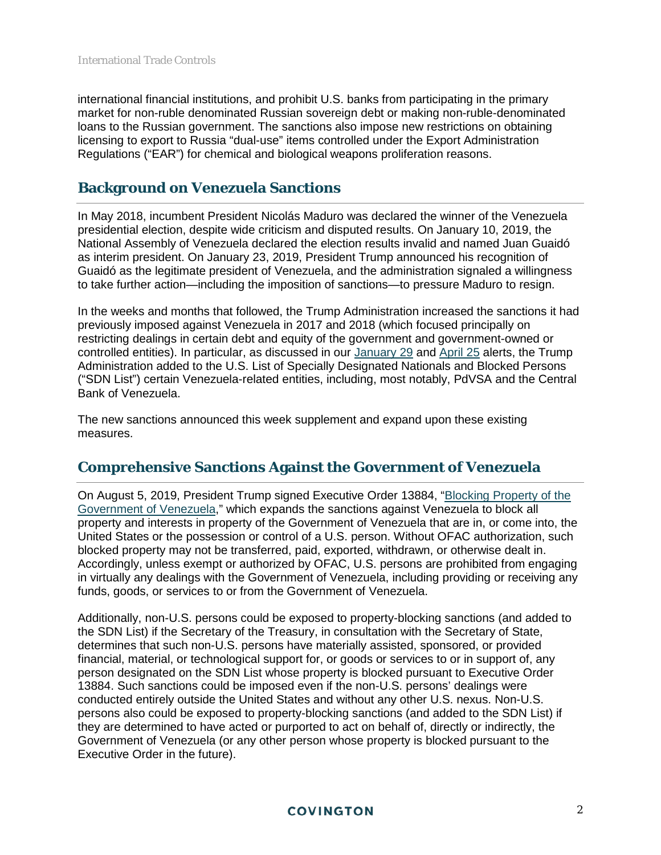international financial institutions, and prohibit U.S. banks from participating in the primary market for non-ruble denominated Russian sovereign debt or making non-ruble-denominated loans to the Russian government. The sanctions also impose new restrictions on obtaining licensing to export to Russia "dual-use" items controlled under the Export Administration Regulations ("EAR") for chemical and biological weapons proliferation reasons.

## **Background on Venezuela Sanctions**

In May 2018, incumbent President Nicolás Maduro was declared the winner of the Venezuela presidential election, despite wide criticism and disputed results. On January 10, 2019, the National Assembly of Venezuela declared the election results invalid and named Juan Guaidó as interim president. On January 23, 2019, President Trump announced his recognition of Guaidó as the legitimate president of Venezuela, and the administration signaled a willingness to take further action—including the imposition of sanctions—to pressure Maduro to resign.

In the weeks and months that followed, the Trump Administration increased the sanctions it had previously imposed against Venezuela in 2017 and 2018 (which focused principally on restricting dealings in certain debt and equity of the government and government-owned or controlled entities). In particular, as discussed in our [January 29](https://www.cov.com/-/media/files/corporate/publications/2019/01/us_sanctions_venezuelas_oil_sector_by_adding_pdvsa_to_the_sdn_list_ofac_issues_general_licenses_temporarily_authorizing_certain_activities_by_us_persons.pdf) and [April 25](https://www.cov.com/-/media/files/corporate/publications/2019/04/united_states_expands_sanctions_against_iran_targets_cuba_venezuela_and_nicaragua_with_additional_measures.pdf) alerts, the Trump Administration added to the U.S. List of Specially Designated Nationals and Blocked Persons ("SDN List") certain Venezuela-related entities, including, most notably, PdVSA and the Central Bank of Venezuela.

The new sanctions announced this week supplement and expand upon these existing measures.

## **Comprehensive Sanctions Against the Government of Venezuela**

On August 5, 2019, President Trump signed Executive Order 13884, ["Blocking Property of the](https://www.treasury.gov/resource-center/sanctions/Programs/Documents/13884.pdf)  [Government of Venezuela,](https://www.treasury.gov/resource-center/sanctions/Programs/Documents/13884.pdf)" which expands the sanctions against Venezuela to block all property and interests in property of the Government of Venezuela that are in, or come into, the United States or the possession or control of a U.S. person. Without OFAC authorization, such blocked property may not be transferred, paid, exported, withdrawn, or otherwise dealt in. Accordingly, unless exempt or authorized by OFAC, U.S. persons are prohibited from engaging in virtually any dealings with the Government of Venezuela, including providing or receiving any funds, goods, or services to or from the Government of Venezuela.

Additionally, non-U.S. persons could be exposed to property-blocking sanctions (and added to the SDN List) if the Secretary of the Treasury, in consultation with the Secretary of State, determines that such non-U.S. persons have materially assisted, sponsored, or provided financial, material, or technological support for, or goods or services to or in support of, any person designated on the SDN List whose property is blocked pursuant to Executive Order 13884. Such sanctions could be imposed even if the non-U.S. persons' dealings were conducted entirely outside the United States and without any other U.S. nexus. Non-U.S. persons also could be exposed to property-blocking sanctions (and added to the SDN List) if they are determined to have acted or purported to act on behalf of, directly or indirectly, the Government of Venezuela (or any other person whose property is blocked pursuant to the Executive Order in the future).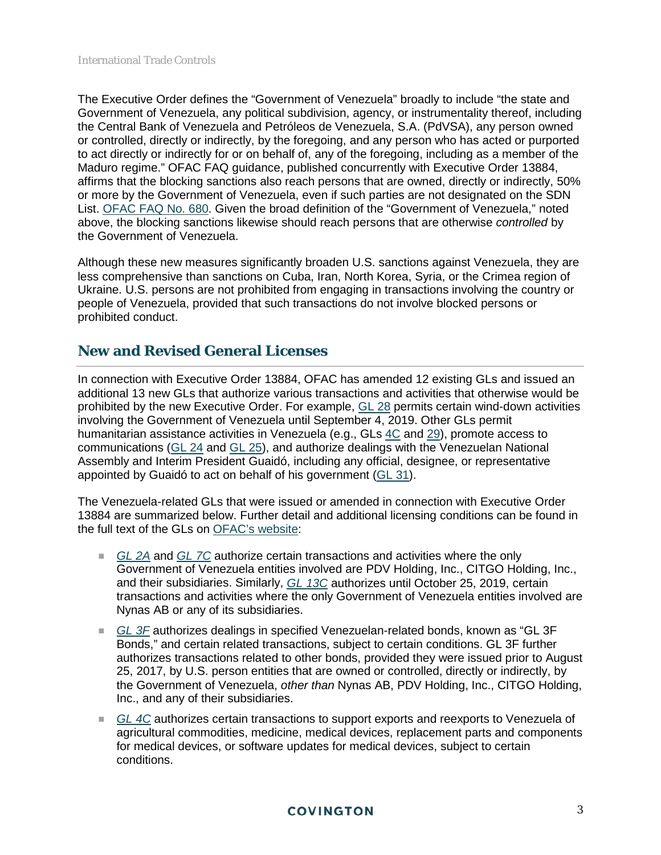The Executive Order defines the "Government of Venezuela" broadly to include "the state and Government of Venezuela, any political subdivision, agency, or instrumentality thereof, including the Central Bank of Venezuela and Petróleos de Venezuela, S.A. (PdVSA), any person owned or controlled, directly or indirectly, by the foregoing, and any person who has acted or purported to act directly or indirectly for or on behalf of, any of the foregoing, including as a member of the Maduro regime." OFAC FAQ guidance, published concurrently with Executive Order 13884, affirms that the blocking sanctions also reach persons that are owned, directly or indirectly, 50% or more by the Government of Venezuela, even if such parties are not designated on the SDN List. OFAC [FAQ No. 680.](https://www.treasury.gov/resource-center/faqs/Sanctions/Pages/faq_other.aspx#680) Given the broad definition of the "Government of Venezuela," noted above, the blocking sanctions likewise should reach persons that are otherwise *controlled* by the Government of Venezuela.

Although these new measures significantly broaden U.S. sanctions against Venezuela, they are less comprehensive than sanctions on Cuba, Iran, North Korea, Syria, or the Crimea region of Ukraine. U.S. persons are not prohibited from engaging in transactions involving the country or people of Venezuela, provided that such transactions do not involve blocked persons or prohibited conduct.

## **New and Revised General Licenses**

In connection with Executive Order 13884, OFAC has amended 12 existing GLs and issued an additional 13 new GLs that authorize various transactions and activities that otherwise would be prohibited by the new Executive Order. For example, [GL 28](https://www.treasury.gov/resource-center/sanctions/Programs/Documents/venezuela_gl28.pdf) permits certain wind-down activities involving the Government of Venezuela until September 4, 2019. Other GLs permit humanitarian assistance activities in Venezuela (e.g., GLs [4C](https://www.treasury.gov/resource-center/sanctions/Programs/Documents/venezuela_gl4c.pdf) and [29\)](https://www.treasury.gov/resource-center/sanctions/Programs/Documents/venezuela_gl29.pdf), promote access to communications [\(GL 24](https://www.treasury.gov/resource-center/sanctions/Programs/Documents/venezuela_gl24.pdf) and [GL 25\)](https://www.treasury.gov/resource-center/sanctions/Programs/Documents/venezuela_gl25.pdf), and authorize dealings with the Venezuelan National Assembly and Interim President Guaidó, including any official, designee, or representative appointed by Guaidó to act on behalf of his government [\(GL 31\)](https://www.treasury.gov/resource-center/sanctions/Programs/Documents/venezuela_gl31.pdf).

The Venezuela-related GLs that were issued or amended in connection with Executive Order 13884 are summarized below. Further detail and additional licensing conditions can be found in the full text of the GLs on [OFAC's website:](https://www.treasury.gov/resource-center/sanctions/Programs/Pages/venezuela.aspx#gl)

- *[GL 2A](https://www.treasury.gov/resource-center/sanctions/Programs/Documents/venezuela_gl2a.pdf)* and *[GL 7C](https://www.treasury.gov/resource-center/sanctions/Programs/Documents/venezuela_gl7c.pdf)* authorize certain transactions and activities where the only Government of Venezuela entities involved are PDV Holding, Inc., CITGO Holding, Inc., and their subsidiaries. Similarly, *[GL 13C](https://www.treasury.gov/resource-center/sanctions/Programs/Documents/venezuela_gl13c.pdf)* authorizes until October 25, 2019, certain transactions and activities where the only Government of Venezuela entities involved are Nynas AB or any of its subsidiaries.
- *[GL 3F](https://www.treasury.gov/resource-center/sanctions/Programs/Documents/venezuela_gl3f.pdf)* authorizes dealings in specified Venezuelan-related bonds, known as "GL 3F Bonds," and certain related transactions, subject to certain conditions. GL 3F further authorizes transactions related to other bonds, provided they were issued prior to August 25, 2017, by U.S. person entities that are owned or controlled, directly or indirectly, by the Government of Venezuela, *other than* Nynas AB, PDV Holding, Inc., CITGO Holding, Inc., and any of their subsidiaries.
- *[GL 4C](https://www.treasury.gov/resource-center/sanctions/Programs/Documents/venezuela_gl4c.pdf)* authorizes certain transactions to support exports and reexports to Venezuela of agricultural commodities, medicine, medical devices, replacement parts and components for medical devices, or software updates for medical devices, subject to certain conditions.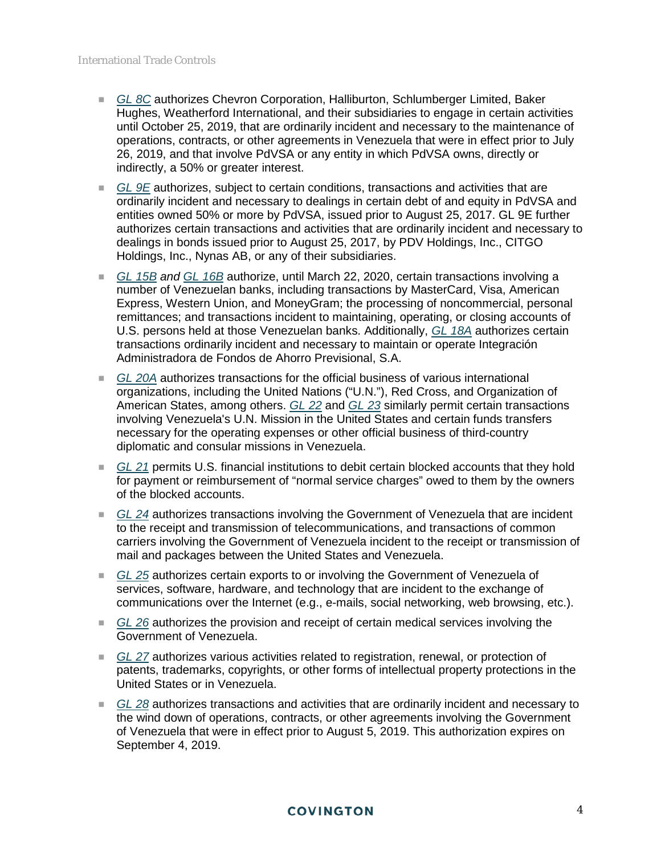- *[GL 8C](https://www.treasury.gov/resource-center/sanctions/Programs/Documents/venezuela_gl8c.pdf)* authorizes Chevron Corporation, Halliburton, Schlumberger Limited, Baker Hughes, Weatherford International, and their subsidiaries to engage in certain activities until October 25, 2019, that are ordinarily incident and necessary to the maintenance of operations, contracts, or other agreements in Venezuela that were in effect prior to July 26, 2019, and that involve PdVSA or any entity in which PdVSA owns, directly or indirectly, a 50% or greater interest.
- *[GL 9E](https://www.treasury.gov/resource-center/sanctions/Programs/Documents/venezuela_gl9e.pdf)* authorizes, subject to certain conditions, transactions and activities that are ordinarily incident and necessary to dealings in certain debt of and equity in PdVSA and entities owned 50% or more by PdVSA, issued prior to August 25, 2017. GL 9E further authorizes certain transactions and activities that are ordinarily incident and necessary to dealings in bonds issued prior to August 25, 2017, by PDV Holdings, Inc., CITGO Holdings, Inc., Nynas AB, or any of their subsidiaries.
- *[GL 15B](https://www.treasury.gov/resource-center/sanctions/Programs/Documents/venezuela_gl15b.pdf) and [GL 16B](https://www.treasury.gov/resource-center/sanctions/Programs/Documents/venezuela_gl16b.pdf)* authorize, until March 22, 2020, certain transactions involving a number of Venezuelan banks, including transactions by MasterCard, Visa, American Express, Western Union, and MoneyGram; the processing of noncommercial, personal remittances; and transactions incident to maintaining, operating, or closing accounts of U.S. persons held at those Venezuelan banks. Additionally, *[GL 18A](https://www.treasury.gov/resource-center/sanctions/Programs/Documents/venezuela_gl18a.pdf)* authorizes certain transactions ordinarily incident and necessary to maintain or operate Integración Administradora de Fondos de Ahorro Previsional, S.A.
- *[GL 20A](https://www.treasury.gov/resource-center/sanctions/Programs/Documents/venezuela_gl20a.pdf)* authorizes transactions for the official business of various international organizations, including the United Nations ("U.N."), Red Cross, and Organization of American States, among others. *[GL 22](https://www.treasury.gov/resource-center/sanctions/Programs/Documents/venezuela_gl22.pdf)* and *[GL 23](https://www.treasury.gov/resource-center/sanctions/Programs/Documents/venezuela_gl23.pdf)* similarly permit certain transactions involving Venezuela's U.N. Mission in the United States and certain funds transfers necessary for the operating expenses or other official business of third-country diplomatic and consular missions in Venezuela.
- *[GL 21](https://www.treasury.gov/resource-center/sanctions/Programs/Documents/venezuela_gl21.pdf)* permits U.S. financial institutions to debit certain blocked accounts that they hold for payment or reimbursement of "normal service charges" owed to them by the owners of the blocked accounts.
- *[GL 24](https://www.treasury.gov/resource-center/sanctions/Programs/Documents/venezuela_gl24.pdf)* authorizes transactions involving the Government of Venezuela that are incident to the receipt and transmission of telecommunications, and transactions of common carriers involving the Government of Venezuela incident to the receipt or transmission of mail and packages between the United States and Venezuela.
- *[GL 25](https://www.treasury.gov/resource-center/sanctions/Programs/Documents/venezuela_gl25.pdf)* authorizes certain exports to or involving the Government of Venezuela of services, software, hardware, and technology that are incident to the exchange of communications over the Internet (e.g., e-mails, social networking, web browsing, etc.).
- *[GL 26](https://www.treasury.gov/resource-center/sanctions/Programs/Documents/venezuela_gl26.pdf)* authorizes the provision and receipt of certain medical services involving the Government of Venezuela.
- *[GL 27](https://www.treasury.gov/resource-center/sanctions/Programs/Documents/venezuela_gl27.pdf)* authorizes various activities related to registration, renewal, or protection of patents, trademarks, copyrights, or other forms of intellectual property protections in the United States or in Venezuela.
- *[GL 28](https://www.treasury.gov/resource-center/sanctions/Programs/Documents/venezuela_gl28.pdf)* authorizes transactions and activities that are ordinarily incident and necessary to the wind down of operations, contracts, or other agreements involving the Government of Venezuela that were in effect prior to August 5, 2019. This authorization expires on September 4, 2019.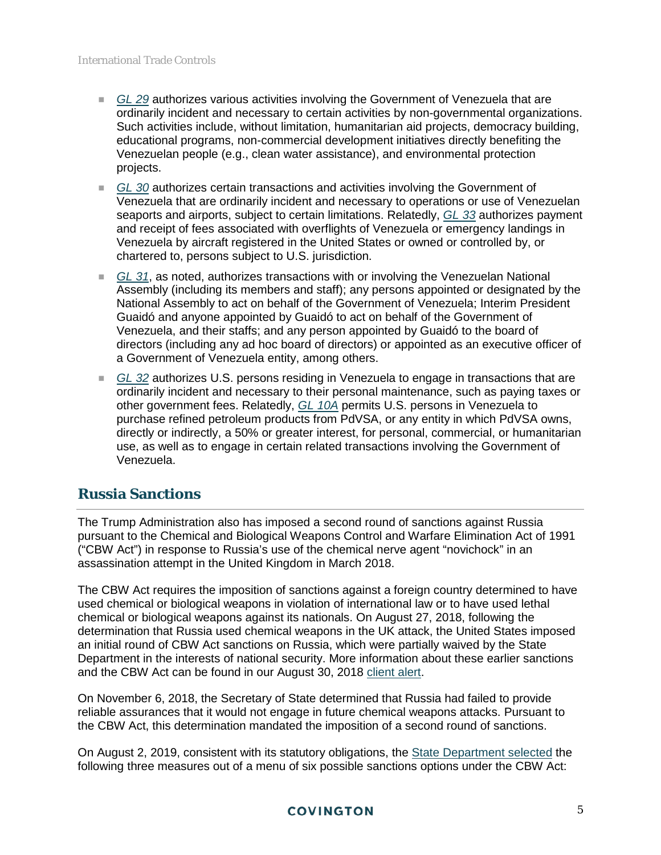- *[GL 29](https://www.treasury.gov/resource-center/sanctions/Programs/Documents/venezuela_gl29.pdf)* authorizes various activities involving the Government of Venezuela that are ordinarily incident and necessary to certain activities by non-governmental organizations. Such activities include, without limitation, humanitarian aid projects, democracy building, educational programs, non-commercial development initiatives directly benefiting the Venezuelan people (e.g., clean water assistance), and environmental protection projects.
- *[GL 30](https://www.treasury.gov/resource-center/sanctions/Programs/Documents/venezuela_gl30.pdf)* authorizes certain transactions and activities involving the Government of Venezuela that are ordinarily incident and necessary to operations or use of Venezuelan seaports and airports, subject to certain limitations. Relatedly, *[GL 33](https://www.treasury.gov/resource-center/sanctions/Programs/Documents/venezuela_gl33.pdf)* authorizes payment and receipt of fees associated with overflights of Venezuela or emergency landings in Venezuela by aircraft registered in the United States or owned or controlled by, or chartered to, persons subject to U.S. jurisdiction.
- *[GL 31](https://www.treasury.gov/resource-center/sanctions/Programs/Documents/venezuela_gl31.pdf)*, as noted, authorizes transactions with or involving the Venezuelan National Assembly (including its members and staff); any persons appointed or designated by the National Assembly to act on behalf of the Government of Venezuela; Interim President Guaidó and anyone appointed by Guaidó to act on behalf of the Government of Venezuela, and their staffs; and any person appointed by Guaidó to the board of directors (including any ad hoc board of directors) or appointed as an executive officer of a Government of Venezuela entity, among others.
- *[GL 32](https://www.treasury.gov/resource-center/sanctions/Programs/Documents/venezuela_gl32.pdf)* authorizes U.S. persons residing in Venezuela to engage in transactions that are ordinarily incident and necessary to their personal maintenance, such as paying taxes or other government fees. Relatedly, *[GL 10A](https://www.treasury.gov/resource-center/sanctions/Programs/Documents/venezuela_gl10a.pdf)* permits U.S. persons in Venezuela to purchase refined petroleum products from PdVSA, or any entity in which PdVSA owns, directly or indirectly, a 50% or greater interest, for personal, commercial, or humanitarian use, as well as to engage in certain related transactions involving the Government of Venezuela.

## **Russia Sanctions**

The Trump Administration also has imposed a second round of sanctions against Russia pursuant to the Chemical and Biological Weapons Control and Warfare Elimination Act of 1991 ("CBW Act") in response to Russia's use of the chemical nerve agent "novichock" in an assassination attempt in the United Kingdom in March 2018.

The CBW Act requires the imposition of sanctions against a foreign country determined to have used chemical or biological weapons in violation of international law or to have used lethal chemical or biological weapons against its nationals. On August 27, 2018, following the determination that Russia used chemical weapons in the UK attack, the United States imposed an initial round of CBW Act sanctions on Russia, which were partially waived by the State Department in the interests of national security. More information about these earlier sanctions and the CBW Act can be found in our August 30, 2018 [client alert.](https://www.cov.com/-/media/files/corporate/publications/2018/08/usimposeschemicalweaponsrelatedsanctionsagainstrussia.pdf)

On November 6, 2018, the Secretary of State determined that Russia had failed to provide reliable assurances that it would not engage in future chemical weapons attacks. Pursuant to the CBW Act, this determination mandated the imposition of a second round of sanctions.

On August 2, 2019, consistent with its statutory obligations, the **State Department selected** the following three measures out of a menu of six possible sanctions options under the CBW Act: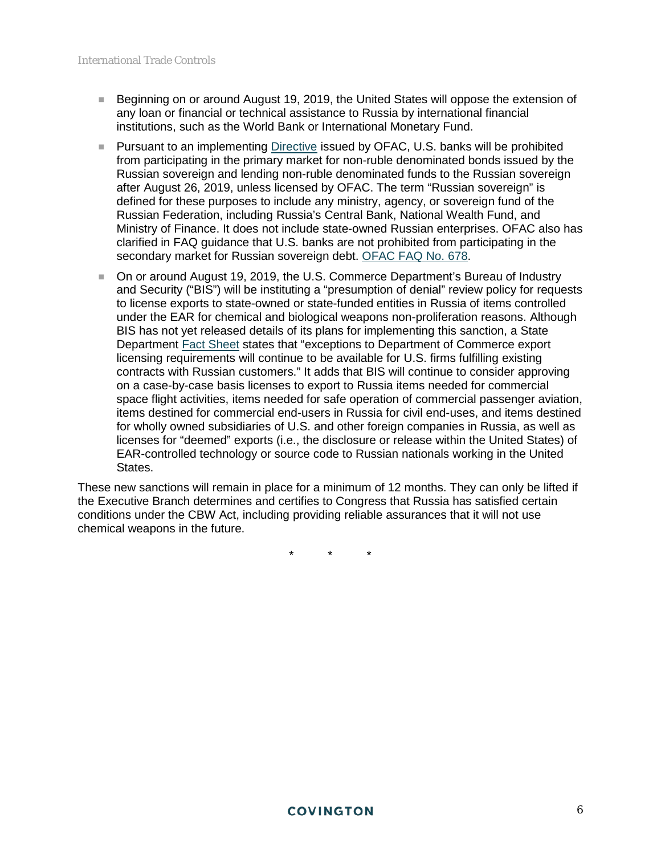- Beginning on or around August 19, 2019, the United States will oppose the extension of any loan or financial or technical assistance to Russia by international financial institutions, such as the World Bank or International Monetary Fund.
- **Pursuant to an implementing [Directive](https://www.treasury.gov/resource-center/sanctions/Programs/Documents/20190803_cbw_directive.pdf) issued by OFAC, U.S. banks will be prohibited** from participating in the primary market for non-ruble denominated bonds issued by the Russian sovereign and lending non-ruble denominated funds to the Russian sovereign after August 26, 2019, unless licensed by OFAC. The term "Russian sovereign" is defined for these purposes to include any ministry, agency, or sovereign fund of the Russian Federation, including Russia's Central Bank, National Wealth Fund, and Ministry of Finance. It does not include state-owned Russian enterprises. OFAC also has clarified in FAQ guidance that U.S. banks are not prohibited from participating in the secondary market for Russian sovereign debt. [OFAC FAQ No. 678.](https://www.treasury.gov/resource-center/faqs/Sanctions/Pages/faq_other.aspx#678)
- On or around August 19, 2019, the U.S. Commerce Department's Bureau of Industry and Security ("BIS") will be instituting a "presumption of denial" review policy for requests to license exports to state-owned or state-funded entities in Russia of items controlled under the EAR for chemical and biological weapons non-proliferation reasons. Although BIS has not yet released details of its plans for implementing this sanction, a State Department [Fact Sheet](https://www.state.gov/second-round-of-chemical-and-biological-weapons-control-and-warfare-elimination-act-sanctions-on-russia/) states that "exceptions to Department of Commerce export licensing requirements will continue to be available for U.S. firms fulfilling existing contracts with Russian customers." It adds that BIS will continue to consider approving on a case-by-case basis licenses to export to Russia items needed for commercial space flight activities, items needed for safe operation of commercial passenger aviation, items destined for commercial end-users in Russia for civil end-uses, and items destined for wholly owned subsidiaries of U.S. and other foreign companies in Russia, as well as licenses for "deemed" exports (i.e., the disclosure or release within the United States) of EAR-controlled technology or source code to Russian nationals working in the United States.

These new sanctions will remain in place for a minimum of 12 months. They can only be lifted if the Executive Branch determines and certifies to Congress that Russia has satisfied certain conditions under the CBW Act, including providing reliable assurances that it will not use chemical weapons in the future.

\* \* \*